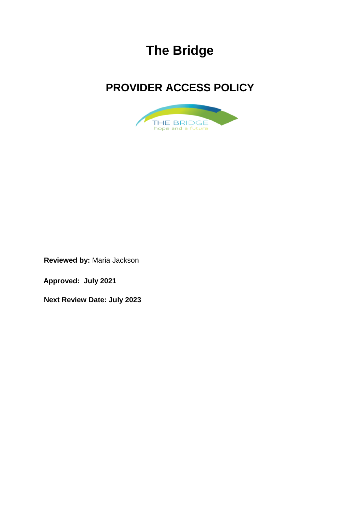# **The Bridge**

## **PROVIDER ACCESS POLICY**



**Reviewed by:** Maria Jackson

**Approved: July 2021**

**Next Review Date: July 2023**